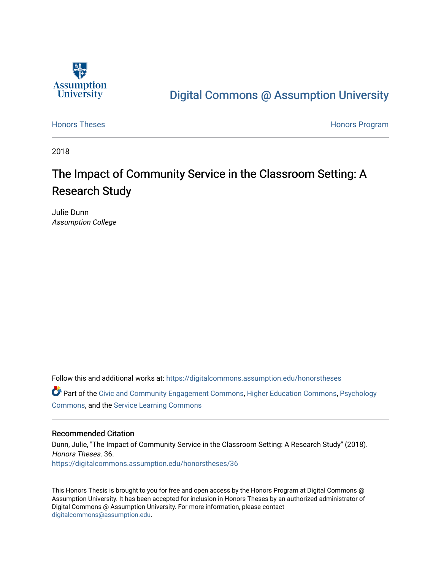

# [Digital Commons @ Assumption University](https://digitalcommons.assumption.edu/)

[Honors Theses](https://digitalcommons.assumption.edu/honorstheses) **Honors** Program

2018

# The Impact of Community Service in the Classroom Setting: A Research Study

Julie Dunn Assumption College

Follow this and additional works at: [https://digitalcommons.assumption.edu/honorstheses](https://digitalcommons.assumption.edu/honorstheses?utm_source=digitalcommons.assumption.edu%2Fhonorstheses%2F36&utm_medium=PDF&utm_campaign=PDFCoverPages)

Part of the [Civic and Community Engagement Commons](http://network.bepress.com/hgg/discipline/1028?utm_source=digitalcommons.assumption.edu%2Fhonorstheses%2F36&utm_medium=PDF&utm_campaign=PDFCoverPages), [Higher Education Commons,](http://network.bepress.com/hgg/discipline/1245?utm_source=digitalcommons.assumption.edu%2Fhonorstheses%2F36&utm_medium=PDF&utm_campaign=PDFCoverPages) [Psychology](http://network.bepress.com/hgg/discipline/404?utm_source=digitalcommons.assumption.edu%2Fhonorstheses%2F36&utm_medium=PDF&utm_campaign=PDFCoverPages) [Commons](http://network.bepress.com/hgg/discipline/404?utm_source=digitalcommons.assumption.edu%2Fhonorstheses%2F36&utm_medium=PDF&utm_campaign=PDFCoverPages), and the [Service Learning Commons](http://network.bepress.com/hgg/discipline/1024?utm_source=digitalcommons.assumption.edu%2Fhonorstheses%2F36&utm_medium=PDF&utm_campaign=PDFCoverPages)

#### Recommended Citation

Dunn, Julie, "The Impact of Community Service in the Classroom Setting: A Research Study" (2018). Honors Theses. 36. [https://digitalcommons.assumption.edu/honorstheses/36](https://digitalcommons.assumption.edu/honorstheses/36?utm_source=digitalcommons.assumption.edu%2Fhonorstheses%2F36&utm_medium=PDF&utm_campaign=PDFCoverPages) 

This Honors Thesis is brought to you for free and open access by the Honors Program at Digital Commons @ Assumption University. It has been accepted for inclusion in Honors Theses by an authorized administrator of Digital Commons @ Assumption University. For more information, please contact [digitalcommons@assumption.edu](mailto:digitalcommons@assumption.edu).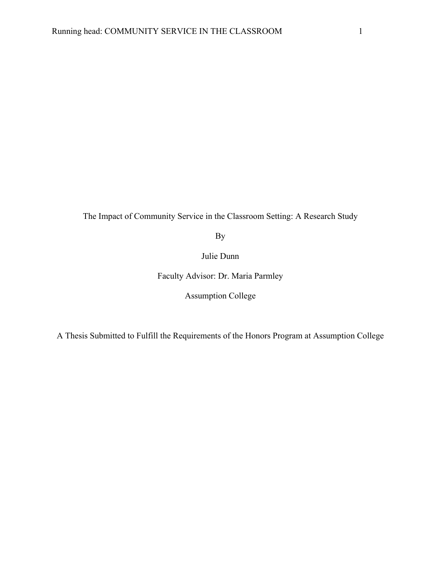The Impact of Community Service in the Classroom Setting: A Research Study

By

Julie Dunn

Faculty Advisor: Dr. Maria Parmley

Assumption College

A Thesis Submitted to Fulfill the Requirements of the Honors Program at Assumption College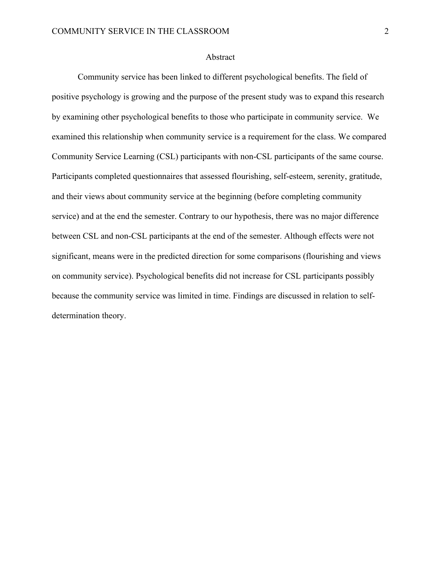#### Abstract

Community service has been linked to different psychological benefits. The field of positive psychology is growing and the purpose of the present study was to expand this research by examining other psychological benefits to those who participate in community service. We examined this relationship when community service is a requirement for the class. We compared Community Service Learning (CSL) participants with non-CSL participants of the same course. Participants completed questionnaires that assessed flourishing, self-esteem, serenity, gratitude, and their views about community service at the beginning (before completing community service) and at the end the semester. Contrary to our hypothesis, there was no major difference between CSL and non-CSL participants at the end of the semester. Although effects were not significant, means were in the predicted direction for some comparisons (flourishing and views on community service). Psychological benefits did not increase for CSL participants possibly because the community service was limited in time. Findings are discussed in relation to selfdetermination theory.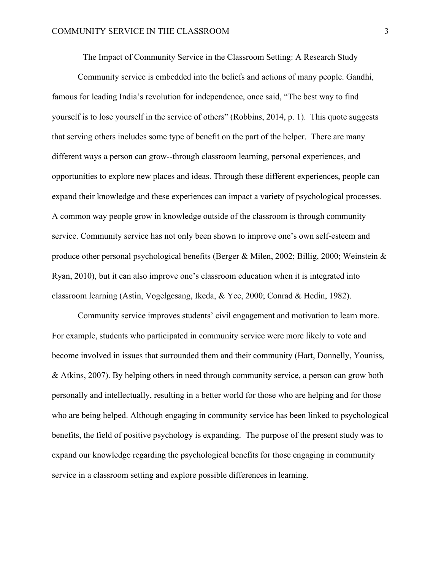The Impact of Community Service in the Classroom Setting: A Research Study

Community service is embedded into the beliefs and actions of many people. Gandhi, famous for leading India's revolution for independence, once said, "The best way to find yourself is to lose yourself in the service of others" (Robbins, 2014, p. 1). This quote suggests that serving others includes some type of benefit on the part of the helper. There are many different ways a person can grow--through classroom learning, personal experiences, and opportunities to explore new places and ideas. Through these different experiences, people can expand their knowledge and these experiences can impact a variety of psychological processes. A common way people grow in knowledge outside of the classroom is through community service. Community service has not only been shown to improve one's own self-esteem and produce other personal psychological benefits (Berger & Milen, 2002; Billig, 2000; Weinstein & Ryan, 2010), but it can also improve one's classroom education when it is integrated into classroom learning (Astin, Vogelgesang, Ikeda, & Yee, 2000; Conrad & Hedin, 1982).

Community service improves students' civil engagement and motivation to learn more. For example, students who participated in community service were more likely to vote and become involved in issues that surrounded them and their community (Hart, Donnelly, Youniss, & Atkins, 2007). By helping others in need through community service, a person can grow both personally and intellectually, resulting in a better world for those who are helping and for those who are being helped. Although engaging in community service has been linked to psychological benefits, the field of positive psychology is expanding. The purpose of the present study was to expand our knowledge regarding the psychological benefits for those engaging in community service in a classroom setting and explore possible differences in learning.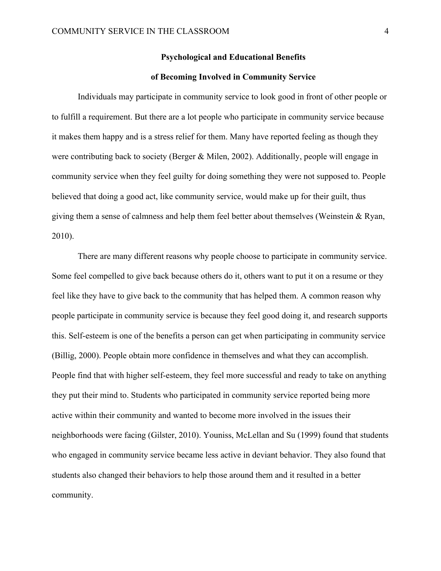#### **Psychological and Educational Benefits**

#### **of Becoming Involved in Community Service**

Individuals may participate in community service to look good in front of other people or to fulfill a requirement. But there are a lot people who participate in community service because it makes them happy and is a stress relief for them. Many have reported feeling as though they were contributing back to society (Berger & Milen, 2002). Additionally, people will engage in community service when they feel guilty for doing something they were not supposed to. People believed that doing a good act, like community service, would make up for their guilt, thus giving them a sense of calmness and help them feel better about themselves (Weinstein & Ryan, 2010).

There are many different reasons why people choose to participate in community service. Some feel compelled to give back because others do it, others want to put it on a resume or they feel like they have to give back to the community that has helped them. A common reason why people participate in community service is because they feel good doing it, and research supports this. Self-esteem is one of the benefits a person can get when participating in community service (Billig, 2000). People obtain more confidence in themselves and what they can accomplish. People find that with higher self-esteem, they feel more successful and ready to take on anything they put their mind to. Students who participated in community service reported being more active within their community and wanted to become more involved in the issues their neighborhoods were facing (Gilster, 2010). Youniss, McLellan and Su (1999) found that students who engaged in community service became less active in deviant behavior. They also found that students also changed their behaviors to help those around them and it resulted in a better community.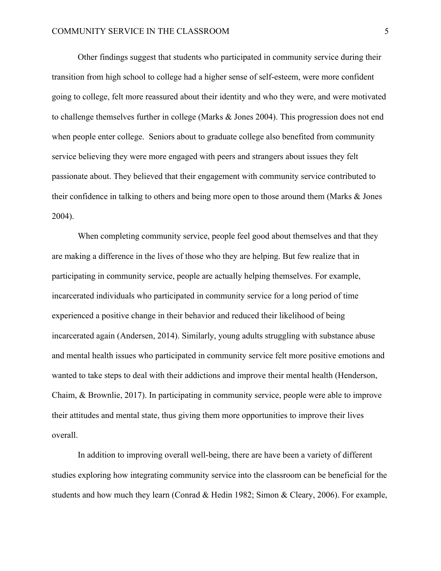Other findings suggest that students who participated in community service during their transition from high school to college had a higher sense of self-esteem, were more confident going to college, felt more reassured about their identity and who they were, and were motivated to challenge themselves further in college (Marks & Jones 2004). This progression does not end when people enter college. Seniors about to graduate college also benefited from community service believing they were more engaged with peers and strangers about issues they felt passionate about. They believed that their engagement with community service contributed to their confidence in talking to others and being more open to those around them (Marks & Jones 2004).

When completing community service, people feel good about themselves and that they are making a difference in the lives of those who they are helping. But few realize that in participating in community service, people are actually helping themselves. For example, incarcerated individuals who participated in community service for a long period of time experienced a positive change in their behavior and reduced their likelihood of being incarcerated again (Andersen, 2014). Similarly, young adults struggling with substance abuse and mental health issues who participated in community service felt more positive emotions and wanted to take steps to deal with their addictions and improve their mental health (Henderson, Chaim, & Brownlie, 2017). In participating in community service, people were able to improve their attitudes and mental state, thus giving them more opportunities to improve their lives overall.

In addition to improving overall well-being, there are have been a variety of different studies exploring how integrating community service into the classroom can be beneficial for the students and how much they learn (Conrad & Hedin 1982; Simon & Cleary, 2006). For example,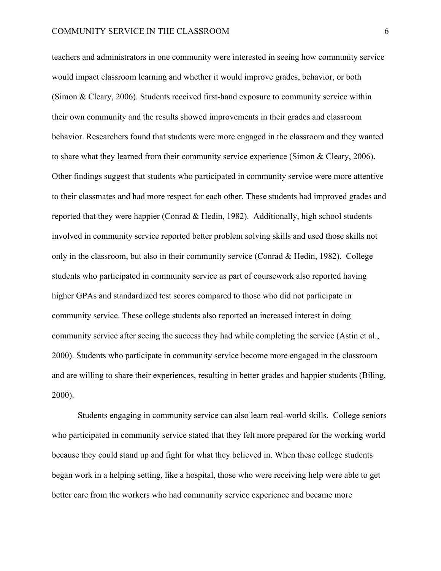teachers and administrators in one community were interested in seeing how community service would impact classroom learning and whether it would improve grades, behavior, or both (Simon & Cleary, 2006). Students received first-hand exposure to community service within their own community and the results showed improvements in their grades and classroom behavior. Researchers found that students were more engaged in the classroom and they wanted to share what they learned from their community service experience (Simon & Cleary, 2006). Other findings suggest that students who participated in community service were more attentive to their classmates and had more respect for each other. These students had improved grades and reported that they were happier (Conrad & Hedin, 1982). Additionally, high school students involved in community service reported better problem solving skills and used those skills not only in the classroom, but also in their community service (Conrad & Hedin, 1982). College students who participated in community service as part of coursework also reported having higher GPAs and standardized test scores compared to those who did not participate in community service. These college students also reported an increased interest in doing community service after seeing the success they had while completing the service (Astin et al., 2000). Students who participate in community service become more engaged in the classroom and are willing to share their experiences, resulting in better grades and happier students (Biling, 2000).

Students engaging in community service can also learn real-world skills. College seniors who participated in community service stated that they felt more prepared for the working world because they could stand up and fight for what they believed in. When these college students began work in a helping setting, like a hospital, those who were receiving help were able to get better care from the workers who had community service experience and became more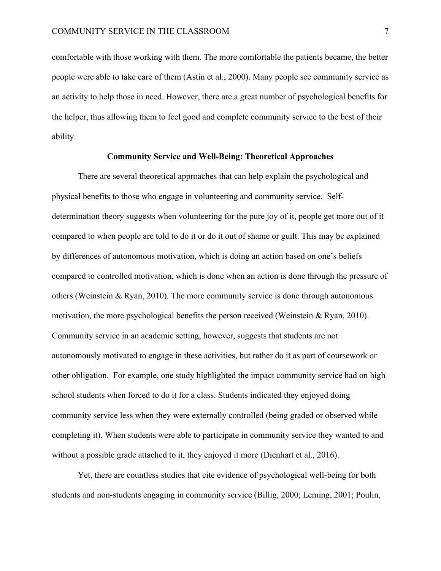comfortable with those working with them. The more comfortable the patients became, the better people were able to take care of them (Astin et al., 2000). Many people see community service as an activity to help those in need. However, there are a great number of psychological benefits for the helper, thus allowing them to feel good and complete community service to the best of their ability.

#### **Community Service and Well-Being: Theoretical Approaches**

There are several theoretical approaches that can help explain the psychological and physical benefits to those who engage in volunteering and community service. Selfdetermination theory suggests when volunteering for the pure joy of it, people get more out of it compared to when people are told to do it or do it out of shame or guilt. This may be explained by differences of autonomous motivation, which is doing an action based on one's beliefs compared to controlled motivation, which is done when an action is done through the pressure of others (Weinstein & Ryan, 2010). The more community service is done through autonomous motivation, the more psychological benefits the person received (Weinstein & Ryan, 2010). Community service in an academic setting, however, suggests that students are not autonomously motivated to engage in these activities, but rather do it as part of coursework or other obligation. For example, one study highlighted the impact community service had on high school students when forced to do it for a class. Students indicated they enjoyed doing community service less when they were externally controlled (being graded or observed while completing it). When students were able to participate in community service they wanted to and without a possible grade attached to it, they enjoyed it more (Dienhart et al., 2016).

Yet, there are countless studies that cite evidence of psychological well-being for both students and non-students engaging in community service (Billig, 2000; Leming, 2001; Poulin,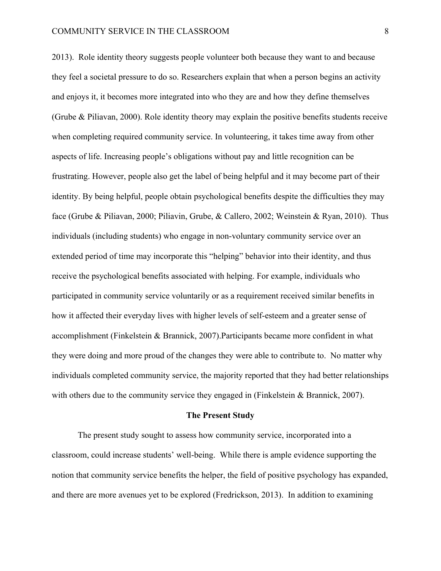#### COMMUNITY SERVICE IN THE CLASSROOM 8

2013). Role identity theory suggests people volunteer both because they want to and because they feel a societal pressure to do so. Researchers explain that when a person begins an activity and enjoys it, it becomes more integrated into who they are and how they define themselves (Grube & Piliavan, 2000). Role identity theory may explain the positive benefits students receive when completing required community service. In volunteering, it takes time away from other aspects of life. Increasing people's obligations without pay and little recognition can be frustrating. However, people also get the label of being helpful and it may become part of their identity. By being helpful, people obtain psychological benefits despite the difficulties they may face (Grube & Piliavan, 2000; Piliavin, Grube, & Callero, 2002; Weinstein & Ryan, 2010). Thus individuals (including students) who engage in non-voluntary community service over an extended period of time may incorporate this "helping" behavior into their identity, and thus receive the psychological benefits associated with helping. For example, individuals who participated in community service voluntarily or as a requirement received similar benefits in how it affected their everyday lives with higher levels of self-esteem and a greater sense of accomplishment (Finkelstein & Brannick, 2007).Participants became more confident in what they were doing and more proud of the changes they were able to contribute to. No matter why individuals completed community service, the majority reported that they had better relationships with others due to the community service they engaged in (Finkelstein & Brannick, 2007).

#### **The Present Study**

The present study sought to assess how community service, incorporated into a classroom, could increase students' well-being. While there is ample evidence supporting the notion that community service benefits the helper, the field of positive psychology has expanded, and there are more avenues yet to be explored (Fredrickson, 2013). In addition to examining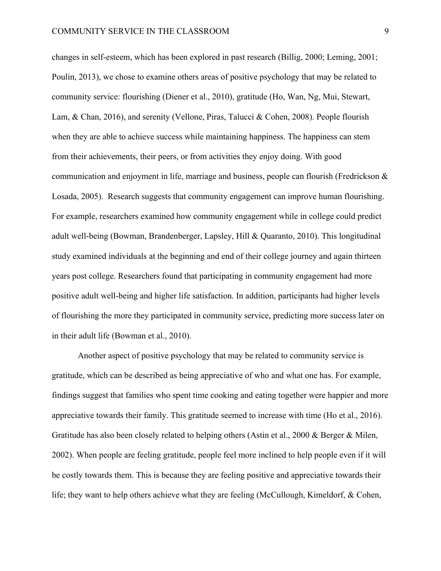changes in self-esteem, which has been explored in past research (Billig, 2000; Leming, 2001; Poulin, 2013), we chose to examine others areas of positive psychology that may be related to community service: flourishing (Diener et al., 2010), gratitude (Ho, Wan, Ng, Mui, Stewart, Lam, & Chan, 2016), and serenity (Vellone, Piras, Talucci & Cohen, 2008). People flourish when they are able to achieve success while maintaining happiness. The happiness can stem from their achievements, their peers, or from activities they enjoy doing. With good communication and enjoyment in life, marriage and business, people can flourish (Fredrickson & Losada, 2005). Research suggests that community engagement can improve human flourishing. For example, researchers examined how community engagement while in college could predict adult well-being (Bowman, Brandenberger, Lapsley, Hill & Quaranto, 2010). This longitudinal study examined individuals at the beginning and end of their college journey and again thirteen years post college. Researchers found that participating in community engagement had more positive adult well-being and higher life satisfaction. In addition, participants had higher levels of flourishing the more they participated in community service, predicting more success later on in their adult life (Bowman et al., 2010).

Another aspect of positive psychology that may be related to community service is gratitude, which can be described as being appreciative of who and what one has. For example, findings suggest that families who spent time cooking and eating together were happier and more appreciative towards their family. This gratitude seemed to increase with time (Ho et al., 2016). Gratitude has also been closely related to helping others (Astin et al., 2000 & Berger & Milen, 2002). When people are feeling gratitude, people feel more inclined to help people even if it will be costly towards them. This is because they are feeling positive and appreciative towards their life; they want to help others achieve what they are feeling (McCullough, Kimeldorf, & Cohen,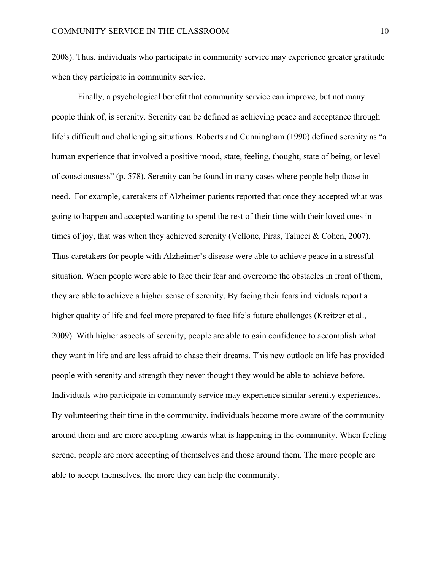2008). Thus, individuals who participate in community service may experience greater gratitude when they participate in community service.

Finally, a psychological benefit that community service can improve, but not many people think of, is serenity. Serenity can be defined as achieving peace and acceptance through life's difficult and challenging situations. Roberts and Cunningham (1990) defined serenity as "a human experience that involved a positive mood, state, feeling, thought, state of being, or level of consciousness" (p. 578). Serenity can be found in many cases where people help those in need. For example, caretakers of Alzheimer patients reported that once they accepted what was going to happen and accepted wanting to spend the rest of their time with their loved ones in times of joy, that was when they achieved serenity (Vellone, Piras, Talucci & Cohen, 2007). Thus caretakers for people with Alzheimer's disease were able to achieve peace in a stressful situation. When people were able to face their fear and overcome the obstacles in front of them, they are able to achieve a higher sense of serenity. By facing their fears individuals report a higher quality of life and feel more prepared to face life's future challenges (Kreitzer et al., 2009). With higher aspects of serenity, people are able to gain confidence to accomplish what they want in life and are less afraid to chase their dreams. This new outlook on life has provided people with serenity and strength they never thought they would be able to achieve before. Individuals who participate in community service may experience similar serenity experiences. By volunteering their time in the community, individuals become more aware of the community around them and are more accepting towards what is happening in the community. When feeling serene, people are more accepting of themselves and those around them. The more people are able to accept themselves, the more they can help the community.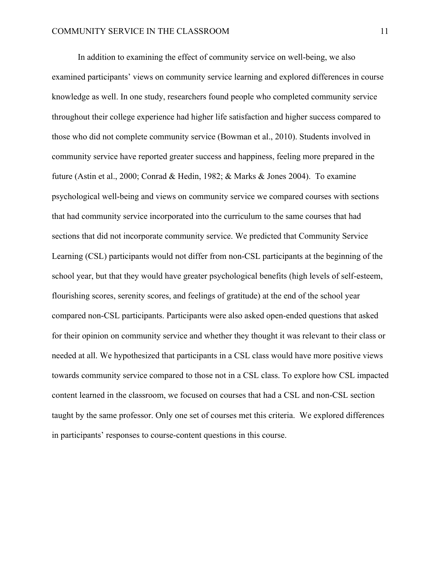In addition to examining the effect of community service on well-being, we also examined participants' views on community service learning and explored differences in course knowledge as well. In one study, researchers found people who completed community service throughout their college experience had higher life satisfaction and higher success compared to those who did not complete community service (Bowman et al., 2010). Students involved in community service have reported greater success and happiness, feeling more prepared in the future (Astin et al., 2000; Conrad & Hedin, 1982; & Marks & Jones 2004). To examine psychological well-being and views on community service we compared courses with sections that had community service incorporated into the curriculum to the same courses that had sections that did not incorporate community service. We predicted that Community Service Learning (CSL) participants would not differ from non-CSL participants at the beginning of the school year, but that they would have greater psychological benefits (high levels of self-esteem, flourishing scores, serenity scores, and feelings of gratitude) at the end of the school year compared non-CSL participants. Participants were also asked open-ended questions that asked for their opinion on community service and whether they thought it was relevant to their class or needed at all. We hypothesized that participants in a CSL class would have more positive views towards community service compared to those not in a CSL class. To explore how CSL impacted content learned in the classroom, we focused on courses that had a CSL and non-CSL section taught by the same professor. Only one set of courses met this criteria. We explored differences in participants' responses to course-content questions in this course.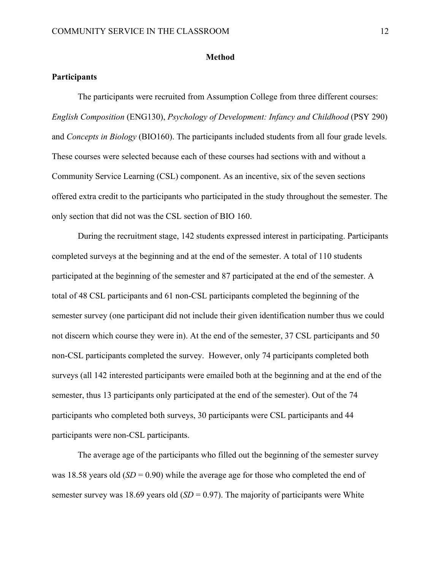#### **Method**

#### **Participants**

The participants were recruited from Assumption College from three different courses: *English Composition* (ENG130), *Psychology of Development: Infancy and Childhood* (PSY 290) and *Concepts in Biology* (BIO160). The participants included students from all four grade levels. These courses were selected because each of these courses had sections with and without a Community Service Learning (CSL) component. As an incentive, six of the seven sections offered extra credit to the participants who participated in the study throughout the semester. The only section that did not was the CSL section of BIO 160.

During the recruitment stage, 142 students expressed interest in participating. Participants completed surveys at the beginning and at the end of the semester. A total of 110 students participated at the beginning of the semester and 87 participated at the end of the semester. A total of 48 CSL participants and 61 non-CSL participants completed the beginning of the semester survey (one participant did not include their given identification number thus we could not discern which course they were in). At the end of the semester, 37 CSL participants and 50 non-CSL participants completed the survey. However, only 74 participants completed both surveys (all 142 interested participants were emailed both at the beginning and at the end of the semester, thus 13 participants only participated at the end of the semester). Out of the 74 participants who completed both surveys, 30 participants were CSL participants and 44 participants were non-CSL participants.

The average age of the participants who filled out the beginning of the semester survey was 18.58 years old (*SD* = 0.90) while the average age for those who completed the end of semester survey was 18.69 years old  $(SD = 0.97)$ . The majority of participants were White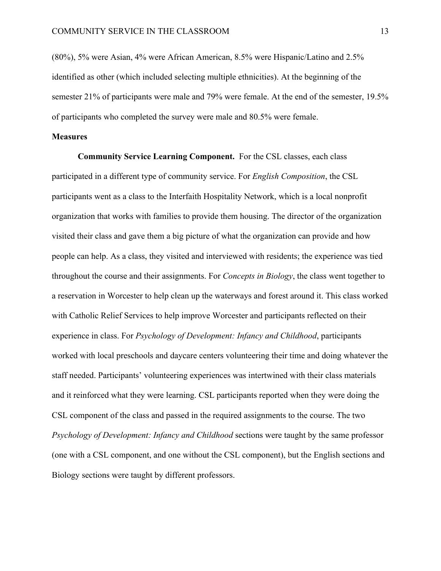(80%), 5% were Asian, 4% were African American, 8.5% were Hispanic/Latino and 2.5% identified as other (which included selecting multiple ethnicities). At the beginning of the semester 21% of participants were male and 79% were female. At the end of the semester, 19.5% of participants who completed the survey were male and 80.5% were female.

#### **Measures**

**Community Service Learning Component.** For the CSL classes, each class participated in a different type of community service. For *English Composition*, the CSL participants went as a class to the Interfaith Hospitality Network, which is a local nonprofit organization that works with families to provide them housing. The director of the organization visited their class and gave them a big picture of what the organization can provide and how people can help. As a class, they visited and interviewed with residents; the experience was tied throughout the course and their assignments. For *Concepts in Biology*, the class went together to a reservation in Worcester to help clean up the waterways and forest around it. This class worked with Catholic Relief Services to help improve Worcester and participants reflected on their experience in class. For *Psychology of Development: Infancy and Childhood*, participants worked with local preschools and daycare centers volunteering their time and doing whatever the staff needed. Participants' volunteering experiences was intertwined with their class materials and it reinforced what they were learning. CSL participants reported when they were doing the CSL component of the class and passed in the required assignments to the course. The two *Psychology of Development: Infancy and Childhood* sections were taught by the same professor (one with a CSL component, and one without the CSL component), but the English sections and Biology sections were taught by different professors.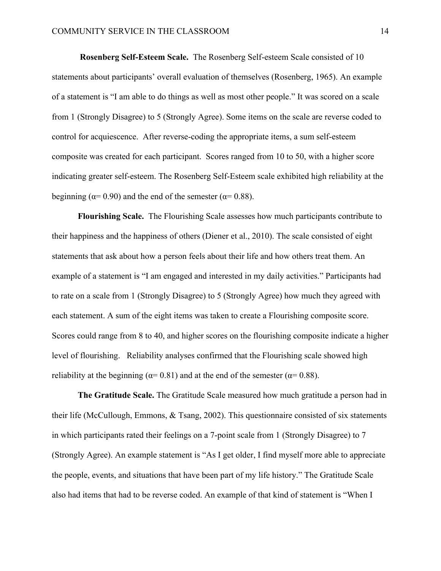**Rosenberg Self-Esteem Scale.** The Rosenberg Self-esteem Scale consisted of 10 statements about participants' overall evaluation of themselves (Rosenberg, 1965). An example of a statement is "I am able to do things as well as most other people." It was scored on a scale from 1 (Strongly Disagree) to 5 (Strongly Agree). Some items on the scale are reverse coded to control for acquiescence. After reverse-coding the appropriate items, a sum self-esteem composite was created for each participant. Scores ranged from 10 to 50, with a higher score indicating greater self-esteem. The Rosenberg Self-Esteem scale exhibited high reliability at the beginning ( $\alpha$ = 0.90) and the end of the semester ( $\alpha$ = 0.88).

**Flourishing Scale.** The Flourishing Scale assesses how much participants contribute to their happiness and the happiness of others (Diener et al., 2010). The scale consisted of eight statements that ask about how a person feels about their life and how others treat them. An example of a statement is "I am engaged and interested in my daily activities." Participants had to rate on a scale from 1 (Strongly Disagree) to 5 (Strongly Agree) how much they agreed with each statement. A sum of the eight items was taken to create a Flourishing composite score. Scores could range from 8 to 40, and higher scores on the flourishing composite indicate a higher level of flourishing. Reliability analyses confirmed that the Flourishing scale showed high reliability at the beginning ( $\alpha$ = 0.81) and at the end of the semester ( $\alpha$ = 0.88).

**The Gratitude Scale.** The Gratitude Scale measured how much gratitude a person had in their life (McCullough, Emmons, & Tsang, 2002). This questionnaire consisted of six statements in which participants rated their feelings on a 7-point scale from 1 (Strongly Disagree) to 7 (Strongly Agree). An example statement is "As I get older, I find myself more able to appreciate the people, events, and situations that have been part of my life history." The Gratitude Scale also had items that had to be reverse coded. An example of that kind of statement is "When I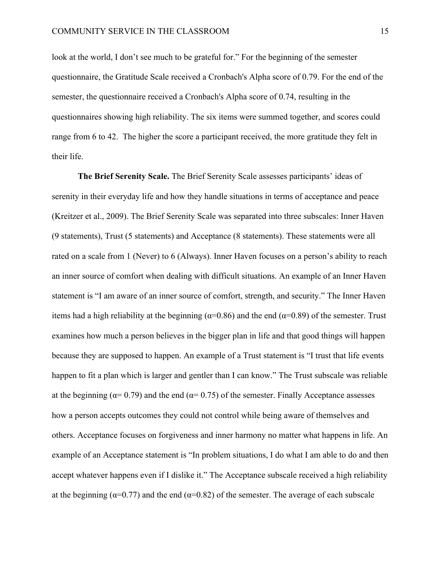look at the world, I don't see much to be grateful for." For the beginning of the semester questionnaire, the Gratitude Scale received a Cronbach's Alpha score of 0.79. For the end of the semester, the questionnaire received a Cronbach's Alpha score of 0.74, resulting in the questionnaires showing high reliability. The six items were summed together, and scores could range from 6 to 42. The higher the score a participant received, the more gratitude they felt in their life.

**The Brief Serenity Scale.** The Brief Serenity Scale assesses participants' ideas of serenity in their everyday life and how they handle situations in terms of acceptance and peace (Kreitzer et al., 2009). The Brief Serenity Scale was separated into three subscales: Inner Haven (9 statements), Trust (5 statements) and Acceptance (8 statements). These statements were all rated on a scale from 1 (Never) to 6 (Always). Inner Haven focuses on a person's ability to reach an inner source of comfort when dealing with difficult situations. An example of an Inner Haven statement is "I am aware of an inner source of comfort, strength, and security." The Inner Haven items had a high reliability at the beginning ( $\alpha$ =0.86) and the end ( $\alpha$ =0.89) of the semester. Trust examines how much a person believes in the bigger plan in life and that good things will happen because they are supposed to happen. An example of a Trust statement is "I trust that life events happen to fit a plan which is larger and gentler than I can know." The Trust subscale was reliable at the beginning ( $\alpha$ = 0.79) and the end ( $\alpha$ = 0.75) of the semester. Finally Acceptance assesses how a person accepts outcomes they could not control while being aware of themselves and others. Acceptance focuses on forgiveness and inner harmony no matter what happens in life. An example of an Acceptance statement is "In problem situations, I do what I am able to do and then accept whatever happens even if I dislike it." The Acceptance subscale received a high reliability at the beginning ( $\alpha$ =0.77) and the end ( $\alpha$ =0.82) of the semester. The average of each subscale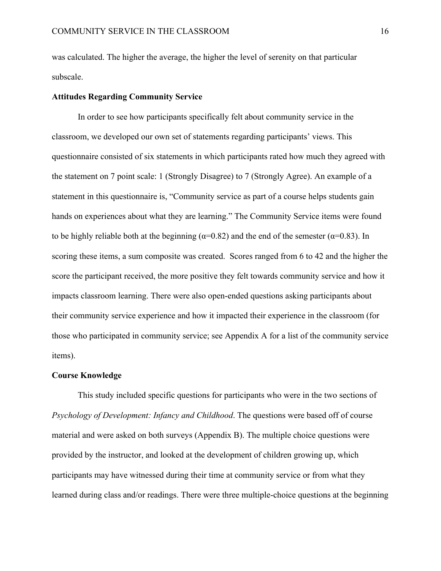was calculated. The higher the average, the higher the level of serenity on that particular subscale.

#### **Attitudes Regarding Community Service**

In order to see how participants specifically felt about community service in the classroom, we developed our own set of statements regarding participants' views. This questionnaire consisted of six statements in which participants rated how much they agreed with the statement on 7 point scale: 1 (Strongly Disagree) to 7 (Strongly Agree). An example of a statement in this questionnaire is, "Community service as part of a course helps students gain hands on experiences about what they are learning." The Community Service items were found to be highly reliable both at the beginning ( $\alpha$ =0.82) and the end of the semester ( $\alpha$ =0.83). In scoring these items, a sum composite was created. Scores ranged from 6 to 42 and the higher the score the participant received, the more positive they felt towards community service and how it impacts classroom learning. There were also open-ended questions asking participants about their community service experience and how it impacted their experience in the classroom (for those who participated in community service; see Appendix A for a list of the community service items).

#### **Course Knowledge**

This study included specific questions for participants who were in the two sections of *Psychology of Development: Infancy and Childhood*. The questions were based off of course material and were asked on both surveys (Appendix B). The multiple choice questions were provided by the instructor, and looked at the development of children growing up, which participants may have witnessed during their time at community service or from what they learned during class and/or readings. There were three multiple-choice questions at the beginning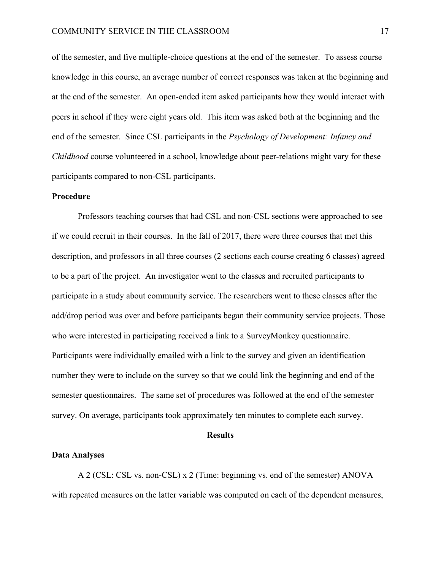of the semester, and five multiple-choice questions at the end of the semester. To assess course knowledge in this course, an average number of correct responses was taken at the beginning and at the end of the semester. An open-ended item asked participants how they would interact with peers in school if they were eight years old. This item was asked both at the beginning and the end of the semester. Since CSL participants in the *Psychology of Development: Infancy and Childhood* course volunteered in a school, knowledge about peer-relations might vary for these participants compared to non-CSL participants.

#### **Procedure**

Professors teaching courses that had CSL and non-CSL sections were approached to see if we could recruit in their courses. In the fall of 2017, there were three courses that met this description, and professors in all three courses (2 sections each course creating 6 classes) agreed to be a part of the project. An investigator went to the classes and recruited participants to participate in a study about community service. The researchers went to these classes after the add/drop period was over and before participants began their community service projects. Those who were interested in participating received a link to a SurveyMonkey questionnaire. Participants were individually emailed with a link to the survey and given an identification number they were to include on the survey so that we could link the beginning and end of the semester questionnaires. The same set of procedures was followed at the end of the semester survey. On average, participants took approximately ten minutes to complete each survey.

#### **Results**

#### **Data Analyses**

A 2 (CSL: CSL vs. non-CSL) x 2 (Time: beginning vs. end of the semester) ANOVA with repeated measures on the latter variable was computed on each of the dependent measures,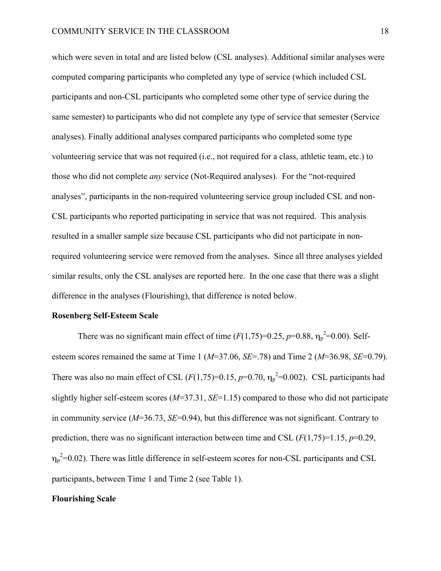which were seven in total and are listed below (CSL analyses). Additional similar analyses were computed comparing participants who completed any type of service (which included CSL participants and non-CSL participants who completed some other type of service during the same semester) to participants who did not complete any type of service that semester (Service analyses). Finally additional analyses compared participants who completed some type volunteering service that was not required (i.e., not required for a class, athletic team, etc.) to those who did not complete *any* service (Not-Required analyses). For the "not-required analyses", participants in the non-required volunteering service group included CSL and non-CSL participants who reported participating in service that was not required. This analysis resulted in a smaller sample size because CSL participants who did not participate in nonrequired volunteering service were removed from the analyses. Since all three analyses yielded similar results, only the CSL analyses are reported here. In the one case that there was a slight difference in the analyses (Flourishing), that difference is noted below.

#### **Rosenberg Self-Esteem Scale**

There was no significant main effect of time  $(F(1,75)=0.25, p=0.88, \eta_p^2=0.00)$ . Selfesteem scores remained the same at Time 1 (*M*=37.06, *SE*=.78) and Time 2 (*M*=36.98, *SE*=0.79). There was also no main effect of CSL  $(F(1, 75)=0.15, p=0.70, \eta_p^2=0.002)$ . CSL participants had slightly higher self-esteem scores (*M*=37.31, *SE*=1.15) compared to those who did not participate in community service (*M*=36.73, *SE*=0.94), but this difference was not significant. Contrary to prediction, there was no significant interaction between time and CSL (*F*(1,75)=1.15, *p*=0.29,  $\eta_p^2$ =0.02). There was little difference in self-esteem scores for non-CSL participants and CSL participants, between Time 1 and Time 2 (see Table 1).

#### **Flourishing Scale**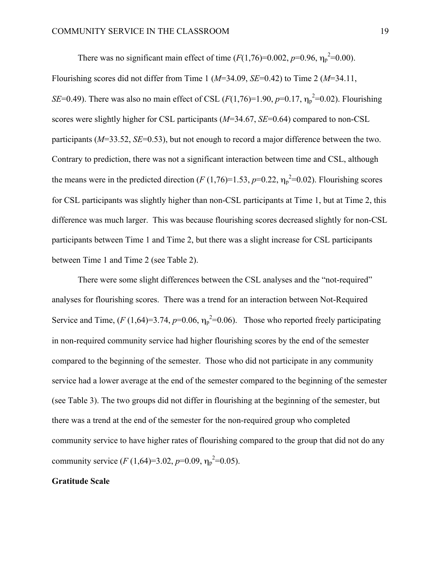There was no significant main effect of time  $(F(1,76)=0.002, p=0.96, \eta_p^2=0.00)$ . Flourishing scores did not differ from Time 1 (*M*=34.09, *SE*=0.42) to Time 2 (*M*=34.11, *SE*=0.49). There was also no main effect of CSL  $(F(1, 76)=1.90, p=0.17, \eta_p^2=0.02)$ . Flourishing scores were slightly higher for CSL participants (*M*=34.67, *SE*=0.64) compared to non-CSL participants (*M*=33.52, *SE*=0.53), but not enough to record a major difference between the two. Contrary to prediction, there was not a significant interaction between time and CSL, although the means were in the predicted direction  $(F(1, 76)=1.53, p=0.22, \eta_p^2=0.02)$ . Flourishing scores for CSL participants was slightly higher than non-CSL participants at Time 1, but at Time 2, this difference was much larger. This was because flourishing scores decreased slightly for non-CSL participants between Time 1 and Time 2, but there was a slight increase for CSL participants between Time 1 and Time 2 (see Table 2).

There were some slight differences between the CSL analyses and the "not-required" analyses for flourishing scores. There was a trend for an interaction between Not-Required Service and Time,  $(F(1,64)=3.74, p=0.06, \eta_p^2=0.06)$ . Those who reported freely participating in non-required community service had higher flourishing scores by the end of the semester compared to the beginning of the semester. Those who did not participate in any community service had a lower average at the end of the semester compared to the beginning of the semester (see Table 3). The two groups did not differ in flourishing at the beginning of the semester, but there was a trend at the end of the semester for the non-required group who completed community service to have higher rates of flourishing compared to the group that did not do any community service  $(F (1, 64)=3.02, p=0.09, \eta_p^2=0.05)$ .

#### **Gratitude Scale**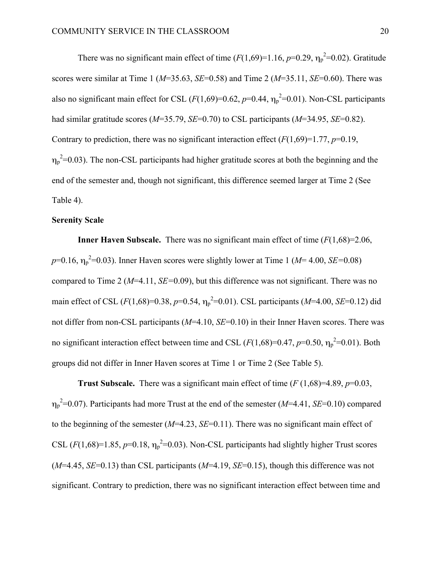There was no significant main effect of time  $(F(1,69)=1.16, p=0.29, \eta_p^2=0.02)$ . Gratitude scores were similar at Time 1 (*M*=35.63, *SE*=0.58) and Time 2 (*M*=35.11, *SE*=0.60). There was also no significant main effect for CSL  $(F(1,69)=0.62, p=0.44, \eta_p^2=0.01)$ . Non-CSL participants had similar gratitude scores (*M*=35.79, *SE*=0.70) to CSL participants (*M*=34.95, *SE*=0.82). Contrary to prediction, there was no significant interaction effect  $(F(1,69)=1.77, p=0.19,$  $\eta_p^2$ =0.03). The non-CSL participants had higher gratitude scores at both the beginning and the end of the semester and, though not significant, this difference seemed larger at Time 2 (See Table 4).

#### **Serenity Scale**

**Inner Haven Subscale.** There was no significant main effect of time (*F*(1,68)=2.06,  $p=0.16$ ,  $\eta_p^2=0.03$ ). Inner Haven scores were slightly lower at Time 1 (*M*= 4.00, *SE*=0.08) compared to Time 2 (*M*=4.11, *SE=*0.09), but this difference was not significant. There was no main effect of CSL ( $F(1,68) = 0.38$ ,  $p=0.54$ ,  $\eta_p^2 = 0.01$ ). CSL participants ( $M=4.00$ ,  $SE=0.12$ ) did not differ from non-CSL participants (*M*=4.10, *SE*=0.10) in their Inner Haven scores. There was no significant interaction effect between time and CSL  $(F(1,68)=0.47, p=0.50, \eta_p^2=0.01)$ . Both groups did not differ in Inner Haven scores at Time 1 or Time 2 (See Table 5).

**Trust Subscale.** There was a significant main effect of time  $(F(1,68)=4.89, p=0.03,$ ηp 2 =0.07). Participants had more Trust at the end of the semester (*M*=4.41, *SE*=0.10) compared to the beginning of the semester (*M*=4.23, *SE*=0.11). There was no significant main effect of CSL  $(F(1,68)=1.85, p=0.18, \eta_p^2=0.03)$ . Non-CSL participants had slightly higher Trust scores  $(M=4.45, SE=0.13)$  than CSL participants  $(M=4.19, SE=0.15)$ , though this difference was not significant. Contrary to prediction, there was no significant interaction effect between time and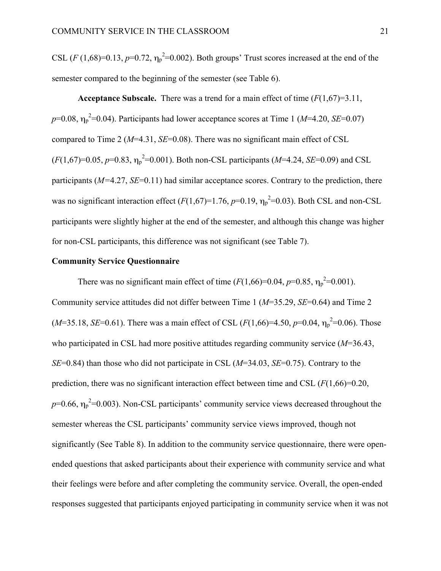CSL  $(F (1,68)=0.13, p=0.72, \eta_p^2=0.002)$ . Both groups' Trust scores increased at the end of the semester compared to the beginning of the semester (see Table 6).

**Acceptance Subscale.** There was a trend for a main effect of time (*F*(1,67)=3.11,  $p=0.08$ ,  $\eta_p^2=0.04$ ). Participants had lower acceptance scores at Time 1 (*M*=4.20, *SE*=0.07) compared to Time 2 (*M*=4.31, *SE*=0.08). There was no significant main effect of CSL  $(F(1,67)=0.05, p=0.83, \eta_p^2=0.001)$ . Both non-CSL participants (*M*=4.24, *SE*=0.09) and CSL participants (*M=*4.27, *SE*=0.11) had similar acceptance scores. Contrary to the prediction, there was no significant interaction effect  $(F(1,67)=1.76, p=0.19, \eta_p^2=0.03)$ . Both CSL and non-CSL participants were slightly higher at the end of the semester, and although this change was higher for non-CSL participants, this difference was not significant (see Table 7).

#### **Community Service Questionnaire**

There was no significant main effect of time  $(F(1,66)=0.04, p=0.85, \eta_p^2=0.001)$ . Community service attitudes did not differ between Time 1 (*M*=35.29, *SE*=0.64) and Time 2  $(M=35.18, SE=0.61)$ . There was a main effect of CSL  $(F(1,66)=4.50, p=0.04, \eta_p^2=0.06)$ . Those who participated in CSL had more positive attitudes regarding community service (*M*=36.43, *SE*=0.84) than those who did not participate in CSL (*M*=34.03, *SE*=0.75). Contrary to the prediction, there was no significant interaction effect between time and CSL (*F*(1,66)=0.20,  $p=0.66$ ,  $\eta_p^2=0.003$ ). Non-CSL participants' community service views decreased throughout the semester whereas the CSL participants' community service views improved, though not significantly (See Table 8). In addition to the community service questionnaire, there were openended questions that asked participants about their experience with community service and what their feelings were before and after completing the community service. Overall, the open-ended responses suggested that participants enjoyed participating in community service when it was not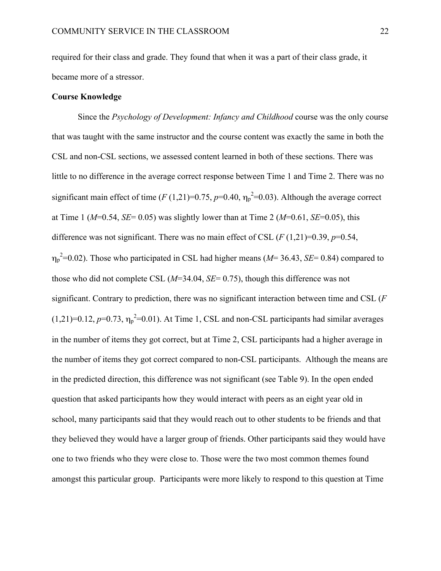required for their class and grade. They found that when it was a part of their class grade, it became more of a stressor.

#### **Course Knowledge**

Since the *Psychology of Development: Infancy and Childhood* course was the only course that was taught with the same instructor and the course content was exactly the same in both the CSL and non-CSL sections, we assessed content learned in both of these sections. There was little to no difference in the average correct response between Time 1 and Time 2. There was no significant main effect of time  $(F(1,21)=0.75, p=0.40, \eta_p^2=0.03)$ . Although the average correct at Time 1 ( $M=0.54$ ,  $SE=0.05$ ) was slightly lower than at Time 2 ( $M=0.61$ ,  $SE=0.05$ ), this difference was not significant. There was no main effect of CSL  $(F(1,21)=0.39, p=0.54,$  $\eta_p^2$ =0.02). Those who participated in CSL had higher means ( $M$ = 36.43, *SE*= 0.84) compared to those who did not complete CSL (*M*=34.04, *SE*= 0.75), though this difference was not significant. Contrary to prediction, there was no significant interaction between time and CSL (*F*   $(1,21)=0.12$ ,  $p=0.73$ ,  $\eta_p^2=0.01$ ). At Time 1, CSL and non-CSL participants had similar averages in the number of items they got correct, but at Time 2, CSL participants had a higher average in the number of items they got correct compared to non-CSL participants. Although the means are in the predicted direction, this difference was not significant (see Table 9). In the open ended question that asked participants how they would interact with peers as an eight year old in school, many participants said that they would reach out to other students to be friends and that they believed they would have a larger group of friends. Other participants said they would have one to two friends who they were close to. Those were the two most common themes found amongst this particular group. Participants were more likely to respond to this question at Time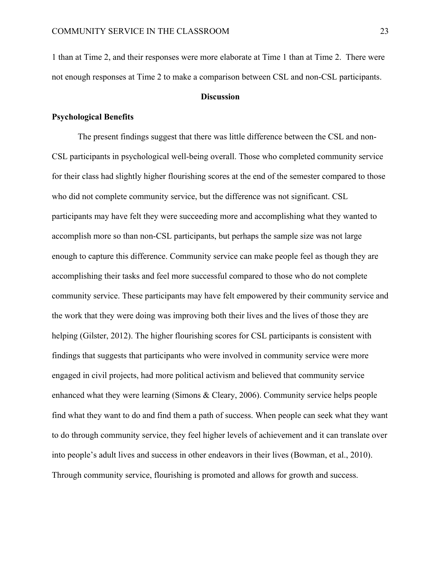1 than at Time 2, and their responses were more elaborate at Time 1 than at Time 2. There were not enough responses at Time 2 to make a comparison between CSL and non-CSL participants.

#### **Discussion**

#### **Psychological Benefits**

The present findings suggest that there was little difference between the CSL and non-CSL participants in psychological well-being overall. Those who completed community service for their class had slightly higher flourishing scores at the end of the semester compared to those who did not complete community service, but the difference was not significant. CSL participants may have felt they were succeeding more and accomplishing what they wanted to accomplish more so than non-CSL participants, but perhaps the sample size was not large enough to capture this difference. Community service can make people feel as though they are accomplishing their tasks and feel more successful compared to those who do not complete community service. These participants may have felt empowered by their community service and the work that they were doing was improving both their lives and the lives of those they are helping (Gilster, 2012). The higher flourishing scores for CSL participants is consistent with findings that suggests that participants who were involved in community service were more engaged in civil projects, had more political activism and believed that community service enhanced what they were learning (Simons & Cleary, 2006). Community service helps people find what they want to do and find them a path of success. When people can seek what they want to do through community service, they feel higher levels of achievement and it can translate over into people's adult lives and success in other endeavors in their lives (Bowman, et al., 2010). Through community service, flourishing is promoted and allows for growth and success.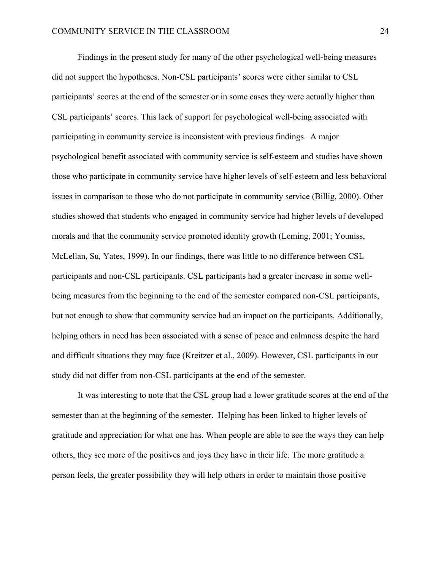Findings in the present study for many of the other psychological well-being measures did not support the hypotheses. Non-CSL participants' scores were either similar to CSL participants' scores at the end of the semester or in some cases they were actually higher than CSL participants' scores. This lack of support for psychological well-being associated with participating in community service is inconsistent with previous findings. A major psychological benefit associated with community service is self-esteem and studies have shown those who participate in community service have higher levels of self-esteem and less behavioral issues in comparison to those who do not participate in community service (Billig, 2000). Other studies showed that students who engaged in community service had higher levels of developed morals and that the community service promoted identity growth (Leming, 2001; Youniss, McLellan, Su*,* Yates, 1999). In our findings, there was little to no difference between CSL participants and non-CSL participants. CSL participants had a greater increase in some wellbeing measures from the beginning to the end of the semester compared non-CSL participants, but not enough to show that community service had an impact on the participants. Additionally, helping others in need has been associated with a sense of peace and calmness despite the hard and difficult situations they may face (Kreitzer et al., 2009). However, CSL participants in our study did not differ from non-CSL participants at the end of the semester.

It was interesting to note that the CSL group had a lower gratitude scores at the end of the semester than at the beginning of the semester. Helping has been linked to higher levels of gratitude and appreciation for what one has. When people are able to see the ways they can help others, they see more of the positives and joys they have in their life. The more gratitude a person feels, the greater possibility they will help others in order to maintain those positive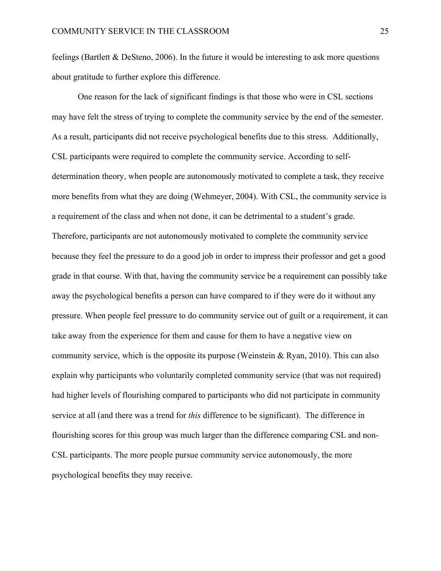feelings (Bartlett & DeSteno, 2006). In the future it would be interesting to ask more questions about gratitude to further explore this difference.

One reason for the lack of significant findings is that those who were in CSL sections may have felt the stress of trying to complete the community service by the end of the semester. As a result, participants did not receive psychological benefits due to this stress. Additionally, CSL participants were required to complete the community service. According to selfdetermination theory, when people are autonomously motivated to complete a task, they receive more benefits from what they are doing (Wehmeyer, 2004). With CSL, the community service is a requirement of the class and when not done, it can be detrimental to a student's grade. Therefore, participants are not autonomously motivated to complete the community service because they feel the pressure to do a good job in order to impress their professor and get a good grade in that course. With that, having the community service be a requirement can possibly take away the psychological benefits a person can have compared to if they were do it without any pressure. When people feel pressure to do community service out of guilt or a requirement, it can take away from the experience for them and cause for them to have a negative view on community service, which is the opposite its purpose (Weinstein  $\&$  Ryan, 2010). This can also explain why participants who voluntarily completed community service (that was not required) had higher levels of flourishing compared to participants who did not participate in community service at all (and there was a trend for *this* difference to be significant). The difference in flourishing scores for this group was much larger than the difference comparing CSL and non-CSL participants. The more people pursue community service autonomously, the more psychological benefits they may receive.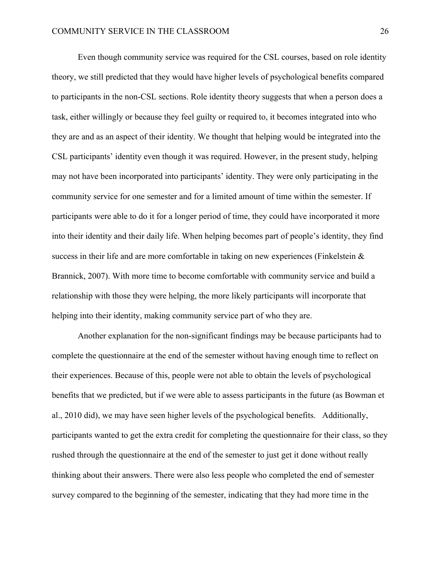Even though community service was required for the CSL courses, based on role identity theory, we still predicted that they would have higher levels of psychological benefits compared to participants in the non-CSL sections. Role identity theory suggests that when a person does a task, either willingly or because they feel guilty or required to, it becomes integrated into who they are and as an aspect of their identity. We thought that helping would be integrated into the CSL participants' identity even though it was required. However, in the present study, helping may not have been incorporated into participants' identity. They were only participating in the community service for one semester and for a limited amount of time within the semester. If participants were able to do it for a longer period of time, they could have incorporated it more into their identity and their daily life. When helping becomes part of people's identity, they find success in their life and are more comfortable in taking on new experiences (Finkelstein & Brannick, 2007). With more time to become comfortable with community service and build a relationship with those they were helping, the more likely participants will incorporate that helping into their identity, making community service part of who they are.

Another explanation for the non-significant findings may be because participants had to complete the questionnaire at the end of the semester without having enough time to reflect on their experiences. Because of this, people were not able to obtain the levels of psychological benefits that we predicted, but if we were able to assess participants in the future (as Bowman et al., 2010 did), we may have seen higher levels of the psychological benefits. Additionally, participants wanted to get the extra credit for completing the questionnaire for their class, so they rushed through the questionnaire at the end of the semester to just get it done without really thinking about their answers. There were also less people who completed the end of semester survey compared to the beginning of the semester, indicating that they had more time in the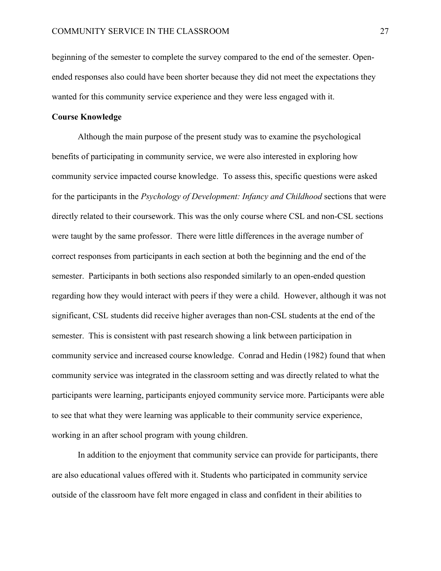beginning of the semester to complete the survey compared to the end of the semester. Openended responses also could have been shorter because they did not meet the expectations they wanted for this community service experience and they were less engaged with it.

#### **Course Knowledge**

Although the main purpose of the present study was to examine the psychological benefits of participating in community service, we were also interested in exploring how community service impacted course knowledge. To assess this, specific questions were asked for the participants in the *Psychology of Development: Infancy and Childhood* sections that were directly related to their coursework. This was the only course where CSL and non-CSL sections were taught by the same professor. There were little differences in the average number of correct responses from participants in each section at both the beginning and the end of the semester. Participants in both sections also responded similarly to an open-ended question regarding how they would interact with peers if they were a child. However, although it was not significant, CSL students did receive higher averages than non-CSL students at the end of the semester. This is consistent with past research showing a link between participation in community service and increased course knowledge. Conrad and Hedin (1982) found that when community service was integrated in the classroom setting and was directly related to what the participants were learning, participants enjoyed community service more. Participants were able to see that what they were learning was applicable to their community service experience, working in an after school program with young children.

In addition to the enjoyment that community service can provide for participants, there are also educational values offered with it. Students who participated in community service outside of the classroom have felt more engaged in class and confident in their abilities to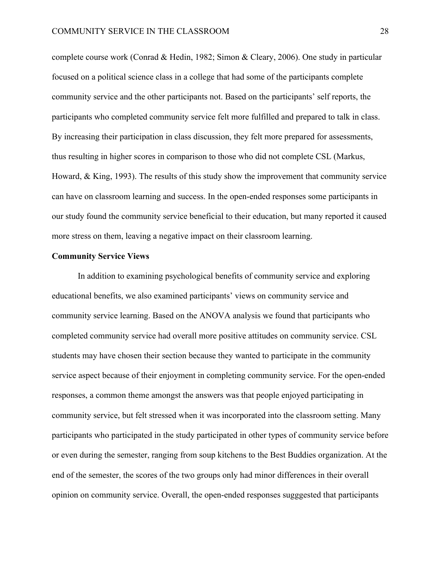complete course work (Conrad & Hedin, 1982; Simon & Cleary, 2006). One study in particular focused on a political science class in a college that had some of the participants complete community service and the other participants not. Based on the participants' self reports, the participants who completed community service felt more fulfilled and prepared to talk in class. By increasing their participation in class discussion, they felt more prepared for assessments, thus resulting in higher scores in comparison to those who did not complete CSL (Markus, Howard, & King, 1993). The results of this study show the improvement that community service can have on classroom learning and success. In the open-ended responses some participants in our study found the community service beneficial to their education, but many reported it caused more stress on them, leaving a negative impact on their classroom learning.

#### **Community Service Views**

In addition to examining psychological benefits of community service and exploring educational benefits, we also examined participants' views on community service and community service learning. Based on the ANOVA analysis we found that participants who completed community service had overall more positive attitudes on community service. CSL students may have chosen their section because they wanted to participate in the community service aspect because of their enjoyment in completing community service. For the open-ended responses, a common theme amongst the answers was that people enjoyed participating in community service, but felt stressed when it was incorporated into the classroom setting. Many participants who participated in the study participated in other types of community service before or even during the semester, ranging from soup kitchens to the Best Buddies organization. At the end of the semester, the scores of the two groups only had minor differences in their overall opinion on community service. Overall, the open-ended responses sugggested that participants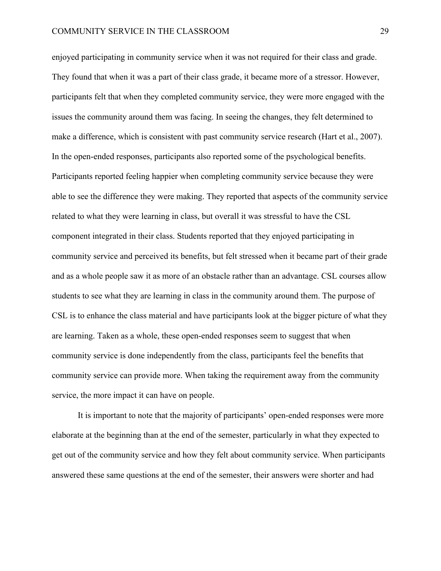enjoyed participating in community service when it was not required for their class and grade. They found that when it was a part of their class grade, it became more of a stressor. However, participants felt that when they completed community service, they were more engaged with the issues the community around them was facing. In seeing the changes, they felt determined to make a difference, which is consistent with past community service research (Hart et al., 2007). In the open-ended responses, participants also reported some of the psychological benefits. Participants reported feeling happier when completing community service because they were able to see the difference they were making. They reported that aspects of the community service related to what they were learning in class, but overall it was stressful to have the CSL component integrated in their class. Students reported that they enjoyed participating in community service and perceived its benefits, but felt stressed when it became part of their grade and as a whole people saw it as more of an obstacle rather than an advantage. CSL courses allow students to see what they are learning in class in the community around them. The purpose of CSL is to enhance the class material and have participants look at the bigger picture of what they are learning. Taken as a whole, these open-ended responses seem to suggest that when community service is done independently from the class, participants feel the benefits that community service can provide more. When taking the requirement away from the community service, the more impact it can have on people.

It is important to note that the majority of participants' open-ended responses were more elaborate at the beginning than at the end of the semester, particularly in what they expected to get out of the community service and how they felt about community service. When participants answered these same questions at the end of the semester, their answers were shorter and had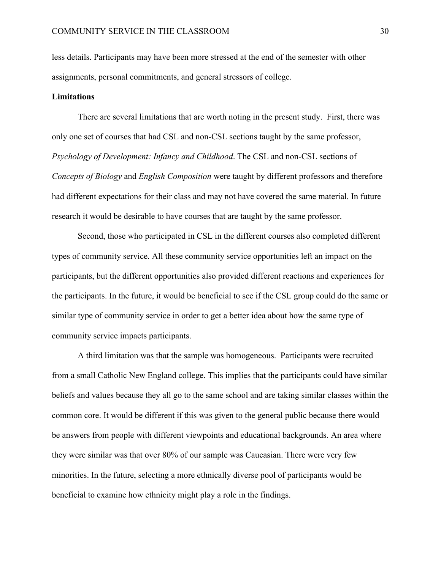less details. Participants may have been more stressed at the end of the semester with other assignments, personal commitments, and general stressors of college.

#### **Limitations**

There are several limitations that are worth noting in the present study. First, there was only one set of courses that had CSL and non-CSL sections taught by the same professor, *Psychology of Development: Infancy and Childhood*. The CSL and non-CSL sections of *Concepts of Biology* and *English Composition* were taught by different professors and therefore had different expectations for their class and may not have covered the same material. In future research it would be desirable to have courses that are taught by the same professor.

Second, those who participated in CSL in the different courses also completed different types of community service. All these community service opportunities left an impact on the participants, but the different opportunities also provided different reactions and experiences for the participants. In the future, it would be beneficial to see if the CSL group could do the same or similar type of community service in order to get a better idea about how the same type of community service impacts participants.

A third limitation was that the sample was homogeneous. Participants were recruited from a small Catholic New England college. This implies that the participants could have similar beliefs and values because they all go to the same school and are taking similar classes within the common core. It would be different if this was given to the general public because there would be answers from people with different viewpoints and educational backgrounds. An area where they were similar was that over 80% of our sample was Caucasian. There were very few minorities. In the future, selecting a more ethnically diverse pool of participants would be beneficial to examine how ethnicity might play a role in the findings.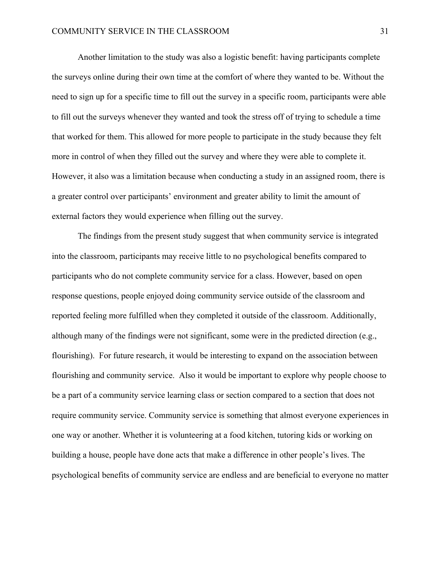Another limitation to the study was also a logistic benefit: having participants complete the surveys online during their own time at the comfort of where they wanted to be. Without the need to sign up for a specific time to fill out the survey in a specific room, participants were able to fill out the surveys whenever they wanted and took the stress off of trying to schedule a time that worked for them. This allowed for more people to participate in the study because they felt more in control of when they filled out the survey and where they were able to complete it. However, it also was a limitation because when conducting a study in an assigned room, there is a greater control over participants' environment and greater ability to limit the amount of external factors they would experience when filling out the survey.

The findings from the present study suggest that when community service is integrated into the classroom, participants may receive little to no psychological benefits compared to participants who do not complete community service for a class. However, based on open response questions, people enjoyed doing community service outside of the classroom and reported feeling more fulfilled when they completed it outside of the classroom. Additionally, although many of the findings were not significant, some were in the predicted direction (e.g., flourishing). For future research, it would be interesting to expand on the association between flourishing and community service. Also it would be important to explore why people choose to be a part of a community service learning class or section compared to a section that does not require community service. Community service is something that almost everyone experiences in one way or another. Whether it is volunteering at a food kitchen, tutoring kids or working on building a house, people have done acts that make a difference in other people's lives. The psychological benefits of community service are endless and are beneficial to everyone no matter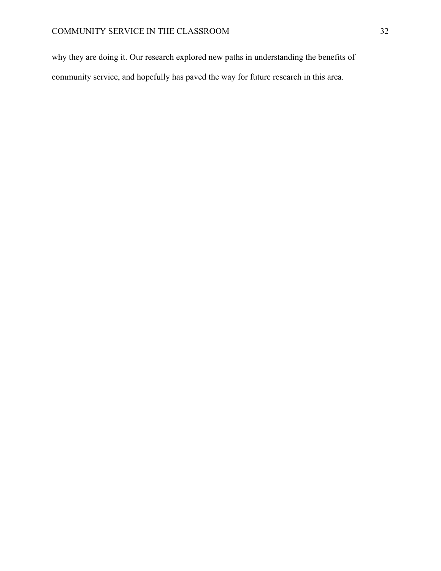why they are doing it. Our research explored new paths in understanding the benefits of community service, and hopefully has paved the way for future research in this area.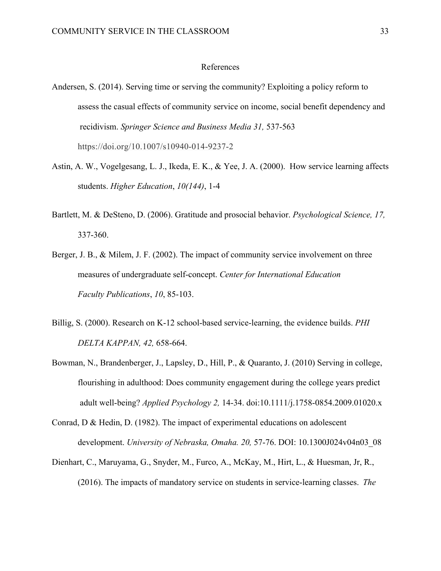#### References

- Andersen, S. (2014). Serving time or serving the community? Exploiting a policy reform to assess the casual effects of community service on income, social benefit dependency and recidivism. *Springer Science and Business Media 31,* 537-563 https://doi.org/10.1007/s10940-014-9237-2
- Astin, A. W., Vogelgesang, L. J., Ikeda, E. K., & Yee, J. A. (2000). How service learning affects students. *Higher Education*, *10(144)*, 1-4
- Bartlett, M. & DeSteno, D. (2006). Gratitude and prosocial behavior. *Psychological Science, 17,* 337-360.
- Berger, J. B., & Milem, J. F. (2002). The impact of community service involvement on three measures of undergraduate self-concept. *Center for International Education Faculty Publications*, *10*, 85-103.
- Billig, S. (2000). Research on K-12 school-based service-learning, the evidence builds. *PHI DELTA KAPPAN, 42,* 658-664.
- Bowman, N., Brandenberger, J., Lapsley, D., Hill, P., & Quaranto, J. (2010) Serving in college, flourishing in adulthood: Does community engagement during the college years predict adult well-being? *Applied Psychology 2,* 14-34. doi:10.1111/j.1758-0854.2009.01020.x
- Conrad, D & Hedin, D. (1982). The impact of experimental educations on adolescent development. *University of Nebraska, Omaha. 20,* 57-76. DOI: 10.1300J024v04n03\_08
- Dienhart, C., Maruyama, G., Snyder, M., Furco, A., McKay, M., Hirt, L., & Huesman, Jr, R., (2016). The impacts of mandatory service on students in service-learning classes. *The*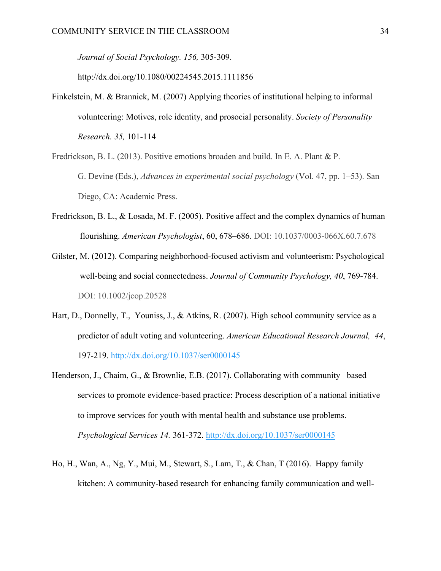*Journal of Social Psychology. 156,* 305-309.

http://dx.doi.org/10.1080/00224545.2015.1111856

- Finkelstein, M. & Brannick, M. (2007) Applying theories of institutional helping to informal volunteering: Motives, role identity, and prosocial personality. *Society of Personality Research. 35,* 101-114
- Fredrickson, B. L. (2013). Positive emotions broaden and build. In E. A. Plant & P. G. Devine (Eds.), *Advances in experimental social psychology* (Vol. 47, pp. 1–53). San Diego, CA: Academic Press.
- Fredrickson, B. L., & Losada, M. F. (2005). Positive affect and the complex dynamics of human flourishing. *American Psychologist*, 60, 678–686. DOI: 10.1037/0003-066X.60.7.678
- Gilster, M. (2012). Comparing neighborhood-focused activism and volunteerism: Psychological well-being and social connectedness. *Journal of Community Psychology, 40*, 769-784. DOI: 10.1002/jcop.20528
- Hart, D., Donnelly, T., Youniss, J., & Atkins, R. (2007). High school community service as a predictor of adult voting and volunteering. *American Educational Research Journal, 44*, 197-219. http://dx.doi.org/10.1037/ser0000145
- Henderson, J., Chaim, G., & Brownlie, E.B. (2017). Collaborating with community –based services to promote evidence-based practice: Process description of a national initiative to improve services for youth with mental health and substance use problems. *Psychological Services 14.* 361-372. http://dx.doi.org/10.1037/ser0000145
- Ho, H., Wan, A., Ng, Y., Mui, M., Stewart, S., Lam, T., & Chan, T (2016). Happy family kitchen: A community-based research for enhancing family communication and well-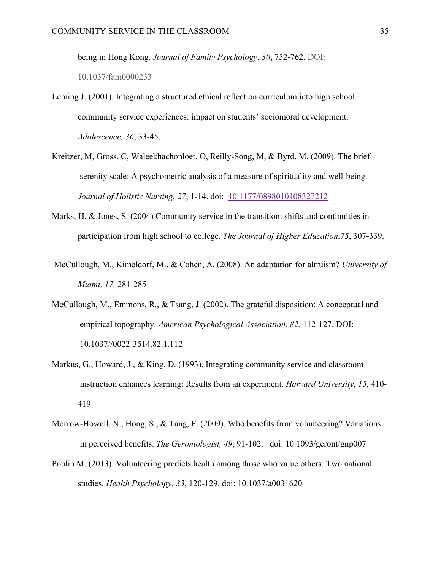being in Hong Kong. *Journal of Family Psychology*, *30*, 752-762. DOI:

10.1037/fam0000233

- Leming J. (2001). Integrating a structured ethical reflection curriculum into high school community service experiences: impact on students' sociomoral development. *Adolescence, 36*, 33-45.
- Kreitzer, M, Gross, C, Waleekhachonloet, O, Reilly-Song, M, & Byrd, M. (2009). The brief serenity scale: A psychometric analysis of a measure of spirituality and well-being. *Journal of Holistic Nursing. 27*, 1-14. doi: 10.1177/0898010108327212
- Marks, H. & Jones, S. (2004) Community service in the transition: shifts and continuities in participation from high school to college. *The Journal of Higher Education*,*75*, 307-339.
- McCullough, M., Kimeldorf, M., & Cohen, A. (2008). An adaptation for altruism? *University of Miami, 17,* 281-285
- McCullough, M., Emmons, R., & Tsang, J. (2002). The grateful disposition: A conceptual and empirical topography. *American Psychological Association, 82,* 112-127. DOI: 10.1037//0022-3514.82.1.112
- Markus, G., Howard, J., & King, D. (1993). Integrating community service and classroom instruction enhances learning: Results from an experiment. *Harvard University, 15,* 410- 419
- Morrow-Howell, N., Hong, S., & Tang, F. (2009). Who benefits from volunteering? Variations in perceived benefits. *The Gerontologist, 49*, 91-102. doi: 10.1093/geront/gnp007
- Poulin M. (2013). Volunteering predicts health among those who value others: Two national studies. *Health Psychology, 33*, 120-129. doi: 10.1037/a0031620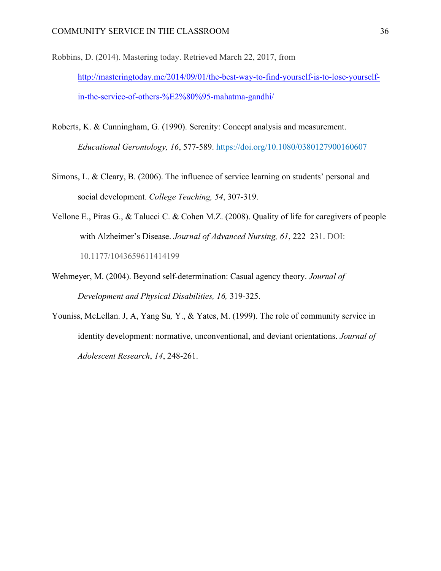- Robbins, D. (2014). Mastering today. Retrieved March 22, 2017, from http://masteringtoday.me/2014/09/01/the-best-way-to-find-yourself-is-to-lose-yourselfin-the-service-of-others-%E2%80%95-mahatma-gandhi/
- Roberts, K. & Cunningham, G. (1990). Serenity: Concept analysis and measurement. *Educational Gerontology, 16*, 577-589. https://doi.org/10.1080/0380127900160607
- Simons, L. & Cleary, B. (2006). The influence of service learning on students' personal and social development. *College Teaching, 54*, 307-319.
- Vellone E., Piras G., & Talucci C. & Cohen M.Z. (2008). Quality of life for caregivers of people with Alzheimer's Disease. *Journal of Advanced Nursing, 61*, 222–231. DOI: 10.1177/1043659611414199
- Wehmeyer, M. (2004). Beyond self-determination: Casual agency theory. *Journal of Development and Physical Disabilities, 16,* 319-325.
- Youniss, McLellan. J, A, Yang Su*,* Y., & Yates, M. (1999). The role of community service in identity development: normative, unconventional, and deviant orientations. *Journal of Adolescent Research*, *14*, 248-261.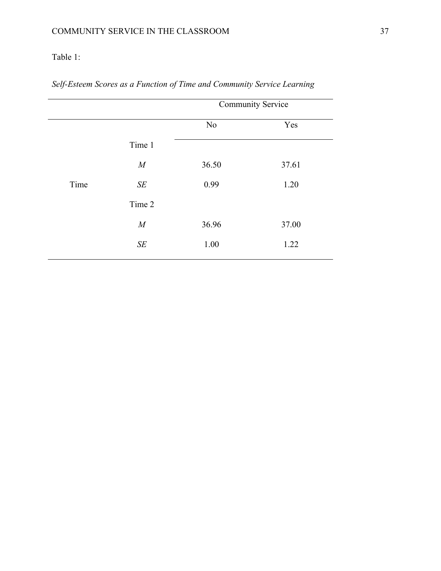## Table 1:

|                  | <b>Community Service</b> |       |  |
|------------------|--------------------------|-------|--|
|                  | N <sub>0</sub>           | Yes   |  |
| Time 1           |                          |       |  |
| $\boldsymbol{M}$ | 36.50                    | 37.61 |  |
| $S\!E$           | 0.99                     | 1.20  |  |
| Time 2           |                          |       |  |
| $\cal M$         | 36.96                    | 37.00 |  |
| $S\!E$           | 1.00                     | 1.22  |  |
|                  |                          |       |  |

*Self-Esteem Scores as a Function of Time and Community Service Learning*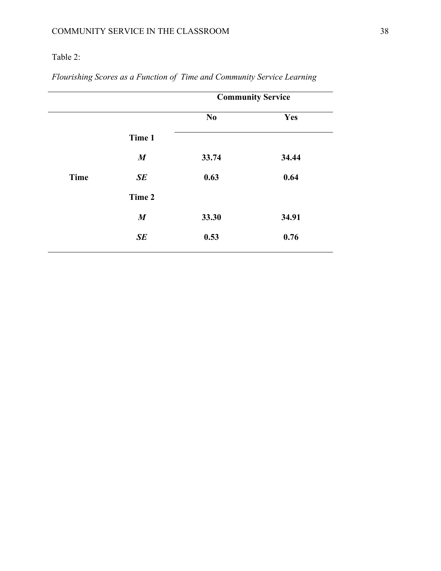## Table 2:

|             |                  | <b>Community Service</b> |       |  |
|-------------|------------------|--------------------------|-------|--|
|             |                  | N <sub>0</sub>           | Yes   |  |
|             | Time 1           |                          |       |  |
|             | $\boldsymbol{M}$ | 33.74                    | 34.44 |  |
| <b>Time</b> | SE               | 0.63                     | 0.64  |  |
|             | Time 2           |                          |       |  |
|             | $\boldsymbol{M}$ | 33.30                    | 34.91 |  |
|             | SE               | 0.53                     | 0.76  |  |
|             |                  |                          |       |  |

*Flourishing Scores as a Function of Time and Community Service Learning*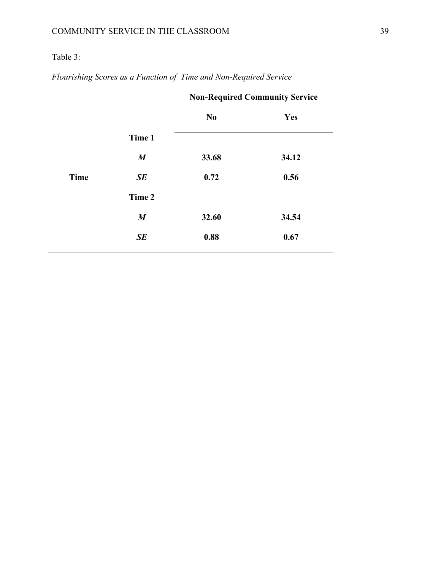## Table 3:

|             |                  | <b>Non-Required Community Service</b> |       |  |
|-------------|------------------|---------------------------------------|-------|--|
|             |                  | N <sub>0</sub>                        | Yes   |  |
|             | Time 1           |                                       |       |  |
|             | $\boldsymbol{M}$ | 33.68                                 | 34.12 |  |
| <b>Time</b> | SE               | 0.72                                  | 0.56  |  |
|             | Time 2           |                                       |       |  |
|             | $\boldsymbol{M}$ | 32.60                                 | 34.54 |  |
|             | SE               | 0.88                                  | 0.67  |  |
|             |                  |                                       |       |  |

*Flourishing Scores as a Function of Time and Non-Required Service*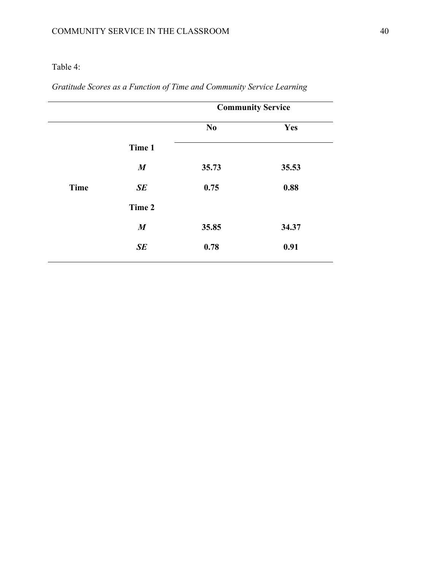## Table 4:

|                  | <b>Community Service</b> |       |  |
|------------------|--------------------------|-------|--|
|                  | N <sub>0</sub>           | Yes   |  |
| Time 1           |                          |       |  |
| $\boldsymbol{M}$ | 35.73                    | 35.53 |  |
| SE               | 0.75                     | 0.88  |  |
| Time 2           |                          |       |  |
| $\boldsymbol{M}$ | 35.85                    | 34.37 |  |
| SE               | 0.78                     | 0.91  |  |
|                  |                          |       |  |

*Gratitude Scores as a Function of Time and Community Service Learning*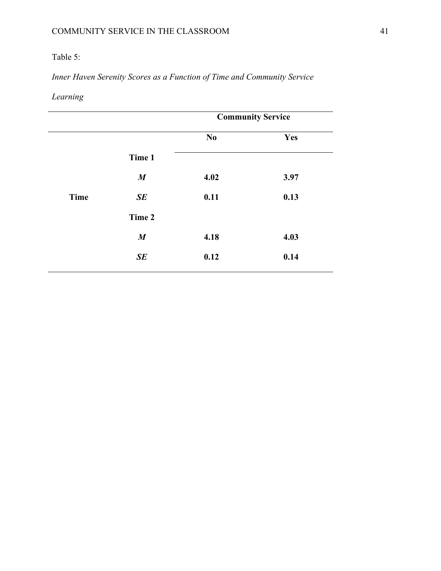## Table 5:

*Inner Haven Serenity Scores as a Function of Time and Community Service* 

*Learning* 

|                  | <b>Community Service</b> |      |  |
|------------------|--------------------------|------|--|
|                  | N <sub>0</sub>           | Yes  |  |
| Time 1           |                          |      |  |
| $\boldsymbol{M}$ | 4.02                     | 3.97 |  |
| SE               | 0.11                     | 0.13 |  |
| Time 2           |                          |      |  |
| $\boldsymbol{M}$ | 4.18                     | 4.03 |  |
| SE               | 0.12                     | 0.14 |  |
|                  |                          |      |  |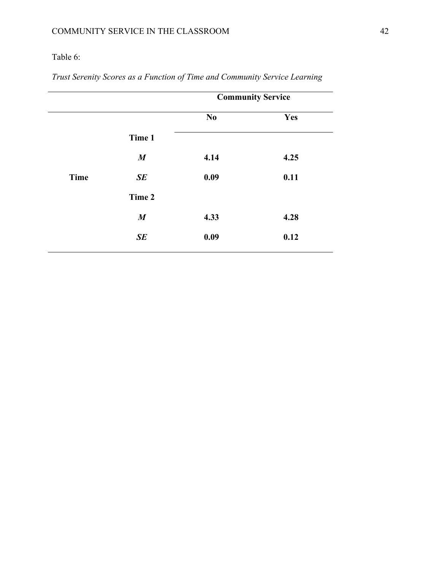## Table 6:

|             |                  | <b>Community Service</b> |      |  |
|-------------|------------------|--------------------------|------|--|
|             |                  | N <sub>0</sub>           | Yes  |  |
|             | Time 1           |                          |      |  |
|             | $\boldsymbol{M}$ | 4.14                     | 4.25 |  |
| <b>Time</b> | SE               | 0.09                     | 0.11 |  |
|             | Time 2           |                          |      |  |
|             | $\boldsymbol{M}$ | 4.33                     | 4.28 |  |
|             | SE               | 0.09                     | 0.12 |  |
|             |                  |                          |      |  |

*Trust Serenity Scores as a Function of Time and Community Service Learning*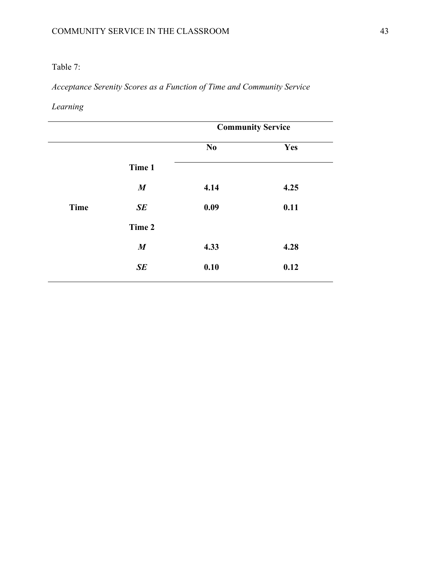## Table 7:

*Acceptance Serenity Scores as a Function of Time and Community Service* 

*Learning*

|                  | <b>Community Service</b> |      |  |
|------------------|--------------------------|------|--|
|                  | $\mathbf{N}\mathbf{0}$   | Yes  |  |
| Time 1           |                          |      |  |
| $\boldsymbol{M}$ | 4.14                     | 4.25 |  |
| SE               | 0.09                     | 0.11 |  |
| Time 2           |                          |      |  |
| $\boldsymbol{M}$ | 4.33                     | 4.28 |  |
| SE               | 0.10                     | 0.12 |  |
|                  |                          |      |  |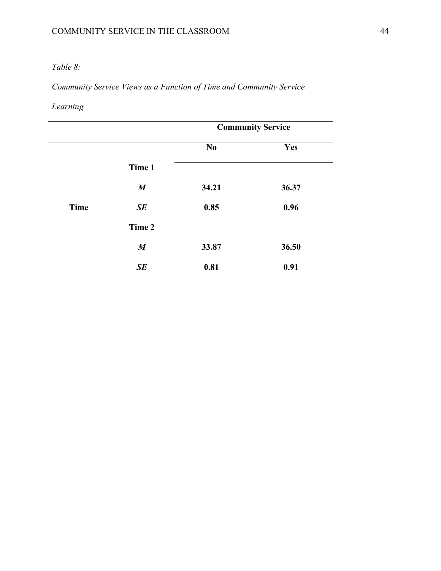## *Table 8:*

*Community Service Views as a Function of Time and Community Service* 

## *Learning*

|             |                  | <b>Community Service</b> |       |  |
|-------------|------------------|--------------------------|-------|--|
|             |                  | N <sub>0</sub>           | Yes   |  |
|             | Time 1           |                          |       |  |
|             | $\boldsymbol{M}$ | 34.21                    | 36.37 |  |
| <b>Time</b> | SE               | 0.85                     | 0.96  |  |
|             | Time 2           |                          |       |  |
|             | $\boldsymbol{M}$ | 33.87                    | 36.50 |  |
|             | SE               | 0.81                     | 0.91  |  |
|             |                  |                          |       |  |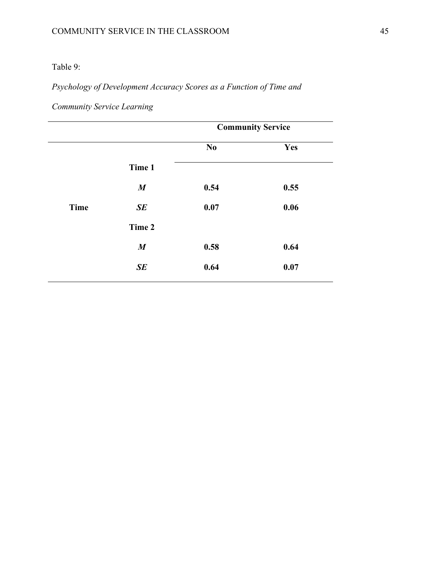## Table 9:

## *Psychology of Development Accuracy Scores as a Function of Time and*

| <b>Community Service Learning</b> |  |
|-----------------------------------|--|
|-----------------------------------|--|

|             |                  | <b>Community Service</b> |      |  |
|-------------|------------------|--------------------------|------|--|
|             |                  | No                       | Yes  |  |
|             | Time 1           |                          |      |  |
|             | $\boldsymbol{M}$ | 0.54                     | 0.55 |  |
| <b>Time</b> | SE               | 0.07                     | 0.06 |  |
|             | Time 2           |                          |      |  |
|             | $\boldsymbol{M}$ | 0.58                     | 0.64 |  |
|             | SE               | 0.64                     | 0.07 |  |
|             |                  |                          |      |  |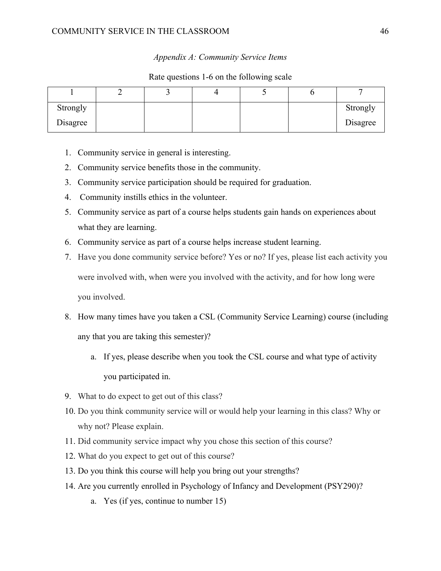### COMMUNITY SERVICE IN THE CLASSROOM 46

#### *Appendix A: Community Service Items*

#### Rate questions 1-6 on the following scale

| Strongly |  |  | Strongly |
|----------|--|--|----------|
| Disagree |  |  | Disagree |

- 1. Community service in general is interesting.
- 2. Community service benefits those in the community.
- 3. Community service participation should be required for graduation.
- 4. Community instills ethics in the volunteer.
- 5. Community service as part of a course helps students gain hands on experiences about what they are learning.
- 6. Community service as part of a course helps increase student learning.
- 7. Have you done community service before? Yes or no? If yes, please list each activity you were involved with, when were you involved with the activity, and for how long were you involved.
- 8. How many times have you taken a CSL (Community Service Learning) course (including any that you are taking this semester)?
	- a. If yes, please describe when you took the CSL course and what type of activity you participated in.
- 9. What to do expect to get out of this class?
- 10. Do you think community service will or would help your learning in this class? Why or why not? Please explain.
- 11. Did community service impact why you chose this section of this course?
- 12. What do you expect to get out of this course?
- 13. Do you think this course will help you bring out your strengths?
- 14. Are you currently enrolled in Psychology of Infancy and Development (PSY290)?
	- a. Yes (if yes, continue to number 15)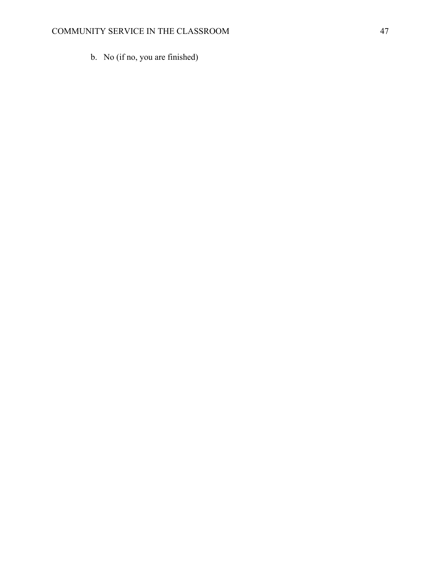b. No (if no, you are finished)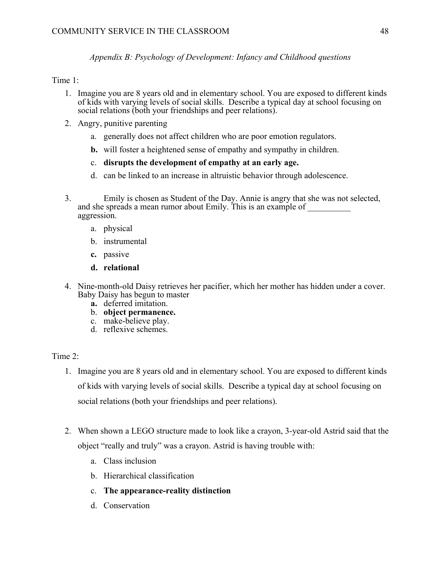*Appendix B: Psychology of Development: Infancy and Childhood questions*

#### Time 1:

- 1. Imagine you are 8 years old and in elementary school. You are exposed to different kinds of kids with varying levels of social skills. Describe a typical day at school focusing on social relations (both your friendships and peer relations).
- 2. Angry, punitive parenting
	- a. generally does not affect children who are poor emotion regulators.
	- **b.** will foster a heightened sense of empathy and sympathy in children.
	- c. **disrupts the development of empathy at an early age.**
	- d. can be linked to an increase in altruistic behavior through adolescence.
- 3. Emily is chosen as Student of the Day. Annie is angry that she was not selected, and she spreads a mean rumor about Emily. This is an example of aggression.
	- a. physical
	- b. instrumental
	- **c.** passive
	- **d. relational**
- 4. Nine-month-old Daisy retrieves her pacifier, which her mother has hidden under a cover. Baby Daisy has begun to master
	- **a.** deferred imitation.
	- b. **object permanence.**
	- c. make-believe play.
	- d. reflexive schemes.

### Time  $2^{\cdot}$

- 1. Imagine you are 8 years old and in elementary school. You are exposed to different kinds of kids with varying levels of social skills. Describe a typical day at school focusing on social relations (both your friendships and peer relations).
- 2. When shown a LEGO structure made to look like a crayon, 3-year-old Astrid said that the object "really and truly" was a crayon. Astrid is having trouble with:
	- a. Class inclusion
	- b. Hierarchical classification
	- c. **The appearance-reality distinction**
	- d. Conservation